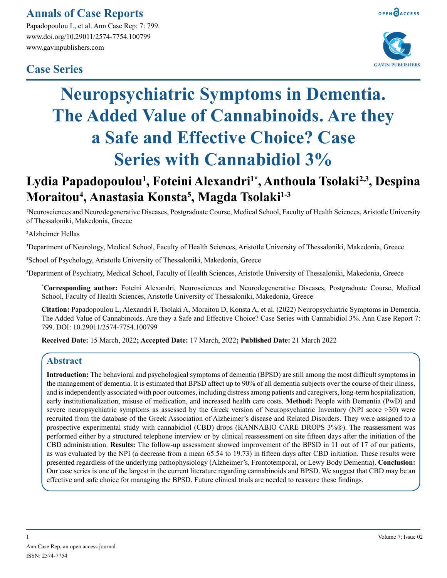### **Annals of Case Reports**

Papadopoulou L, et al. Ann Case Rep: 7: 799. www.doi.org/10.29011/2574-7754.100799 www.gavinpublishers.com

### **Case Series**





# **Neuropsychiatric Symptoms in Dementia. The Added Value of Cannabinoids. Are they a Safe and Effective Choice? Case Series with Cannabidiol 3%**

## Lydia Papadopoulou<sup>1</sup>, Foteini Alexandri<sup>1\*</sup>, Anthoula Tsolaki<sup>2,3</sup>, Despina **Moraitou4 , Anastasia Konsta5 , Magda Tsolaki1-3**

1 Neurosciences and Neurodegenerative Diseases, Postgraduate Course, Medical School, Faculty of Health Sciences, Aristotle University of Thessaloniki, Makedonia, Greece

2 Alzheimer Hellas

3 Department of Neurology, Medical School, Faculty of Health Sciences, Aristotle University of Thessaloniki, Makedonia, Greece

4 School of Psychology, Aristotle University of Thessaloniki, Makedonia, Greece

5 Department of Psychiatry, Medical School, Faculty of Health Sciences, Aristotle University of Thessaloniki, Makedonia, Greece

**\* Corresponding author:** Foteini Alexandri, Neurosciences and Neurodegenerative Diseases, Postgraduate Course, Medical School, Faculty of Health Sciences, Aristotle University of Thessaloniki, Makedonia, Greece

**Citation:** Papadopoulou L, Alexandri F, Tsolaki A, Moraitou D, Konsta A, et al. (2022) Neuropsychiatric Symptoms in Dementia. The Added Value of Cannabinoids. Are they a Safe and Effective Choice? Case Series with Cannabidiol 3%. Ann Case Report 7: 799. DOI: 10.29011/2574-7754.100799

**Received Date:** 15 March, 2022**; Accepted Date:** 17 March, 2022**; Published Date:** 21 March 2022

#### **Abstract**

**Ιntroduction:** The behavioral and psychological symptoms of dementia (BPSD) are still among the most difficult symptoms in the management of dementia. It is estimated that BPSD affect up to 90% of all dementia subjects over the course of their illness, and is independently associated with poor outcomes, including distress among patients and caregivers, long-term hospitalization, early institutionalization, misuse of medication, and increased health care costs. **Method:** People with Dementia (PwD) and severe neuropsychiatric symptoms as assessed by the Greek version of Neuropsychiatric Inventory (NPI score >30) were recruited from the database of the Greek Association of Alzheimer's disease and Related Disorders. Τhey were assigned to a prospective experimental study with cannabidiol (CBD) drops (KANNABIO CARE DROPS 3%®). The reassessment was performed either by a structured telephone interview or by clinical reassessment on site fifteen days after the initiation of the CBD administration. **Results:** The follow-up assessment showed improvement of the BPSD in 11 out of 17 of our patients, as was evaluated by the NPI (a decrease from a mean 65.54 to 19.73) in fifteen days after CBD initiation. These results were presented regardless of the underlying pathophysiology (Alzheimer's, Frontotemporal, or Lewy Body Dementia). **Conclusion:**  Our case series is one of the largest in the current literature regarding cannabinoids and BPSD. We suggest that CBD may be an effective and safe choice for managing the BPSD. Future clinical trials are needed to reassure these findings.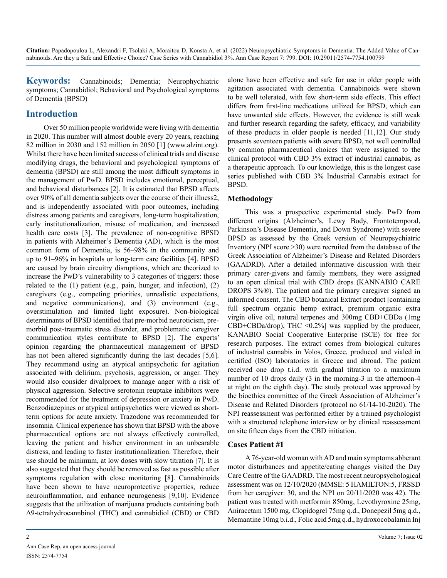**Keywords:** Cannabinoids; Dementia; Neurophychiatric symptoms; Cannabidiol; Behavioral and Psychological symptoms of Dementia (BPSD)

### **Introduction**

Over 50 million people worldwide were living with dementia in 2020. This number will almost double every 20 years, reaching 82 million in 2030 and 152 million in 2050 [1] (www.alzint.org). Whilst there have been limited success of clinical trials and disease modifying drugs, the behavioral and psychological symptoms of dementia (BPSD) are still among the most difficult symptoms in the management of PwD. BPSD includes emotional, perceptual, and behavioral disturbances [2]. It is estimated that BPSD affects over 90% of all dementia subjects over the course of their illness2, and is independently associated with poor outcomes, including distress among patients and caregivers, long-term hospitalization, early institutionalization, misuse of medication, and increased health care costs [3]. The prevalence of non-cognitive BPSD in patients with Alzheimer's Dementia (AD), which is the most common form of Dementia, is 56–98% in the community and up to 91–96% in hospitals or long-term care facilities [4]. BPSD are caused by brain circuitry disruptions, which are theorized to increase the PwD's vulnerability to 3 categories of triggers: those related to the (1) patient (e.g., pain, hunger, and infection), (2) caregivers (e.g., competing priorities, unrealistic expectations, and negative communications), and (3) environment (e.g., overstimulation and limited light exposure). Non-biological determinants of BPSD identified that pre-morbid neuroticism, premorbid post-traumatic stress disorder, and problematic caregiver communication styles contribute to BPSD [2]. The experts' opinion regarding the pharmaceutical management of BPSD has not been altered significantly during the last decades [5,6]. They recommend using an atypical antipsychotic for agitation associated with delirium, psychosis, aggression, or anger. They would also consider divalproex to manage anger with a risk of physical aggression. Selective serotonin reuptake inhibitors were recommended for the treatment of depression or anxiety in PwD. Benzodiazepines or atypical antipsychotics were viewed as shortterm options for acute anxiety. Trazodone was recommended for insomnia. Clinical experience has shown that BPSD with the above pharmaceutical options are not always effectively controlled, leaving the patient and his/her environment in an unbearable distress, and leading to faster institutionalization. Therefore, their use should be minimum, at low doses with slow titration [7]. It is also suggested that they should be removed as fast as possible after symptoms regulation with close monitoring [8]. Cannabinoids have been shown to have neuroprotective properties, reduce neuroinflammation, and enhance neurogenesis [9,10]. Evidence suggests that the utilization of marijuana products containing both Δ9-tetrahydrocannbinol (THC) and cannabidiol (CBD) or CBD

alone have been effective and safe for use in older people with agitation associated with dementia. Cannabinoids were shown to be well tolerated, with few short-term side effects. This effect differs from first-line medications utilized for BPSD, which can have unwanted side effects. However, the evidence is still weak and further research regarding the safety, efficacy, and variability of these products in older people is needed [11,12]. Our study presents seventeen patients with severe BPSD, not well controlled by common pharmaceutical choices that were assigned to the clinical protocol with CBD 3% extract of industrial cannabis, as a therapeutic approach. To our knowledge, this is the longest case series published with CBD 3% Industrial Cannabis extract for BPSD.

#### **Methodology**

This was a prospective experimental study. PwD from different origins (Alzheimer's, Lewy Body, Frontotemporal, Parkinson's Disease Dementia, and Down Syndrome) with severe BPSD as assessed by the Greek version of Neuropsychiatric Inventory (NPI score >30) were recruited from the database of the Greek Association of Alzheimer's Disease and Related Disorders (GAADRD). After a detailed informative discussion with their primary carer-givers and family members, they were assigned to an open clinical trial with CBD drops (KANNABIO CARE DROPS 3%®). The patient and the primary caregiver signed an informed consent. The CBD botanical Extract product [containing full spectrum organic hemp extract, premium organic extra virgin olive oil, natural terpenes and 300mg CBD+CBDa (1mg  $CBD+CBDa/drop$ , THC <0.2%] was supplied by the producer, KANABIO Social Cooperative Enterprise (SCE) for free for research purposes. The extract comes from biological cultures of industrial cannabis in Volos, Greece, produced and vialed in certified (ISO) laboratories in Greece and abroad. The patient received one drop t.i.d. with gradual titration to a maximum number of 10 drops daily (3 in the morning-3 in the afternoon-4 at night on the eighth day). The study protocol was approved by the bioethics committee of the Greek Association of Alzheimer's Disease and Related Disorders (protocol no 61/14-10-2020). The NPI reassessment was performed either by a trained psychologist with a structured telephone interview or by clinical reassessment on site fifteen days from the CBD initiation.

#### **Cases Patient #1**

A 76-year-old woman with AD and main symptoms abberant motor disturbances and appetite/eating changes visited the Day Care Centre of the GAADRD. The most recent neuropsychological assessment was on 12/10/2020 (MMSE: 5 HAMILTON:5, FRSSD from her caregiver: 30, and the NPI on 20/11/2020 was 42). The patient was treated with metformin 850mg, Levothyroxine 25mg, Aniracetam 1500 mg, Clopidogrel 75mg q.d., Donepezil 5mg q.d., Memantine 10mg b.i.d., Folic acid 5mg q.d., hydroxocobalamin Inj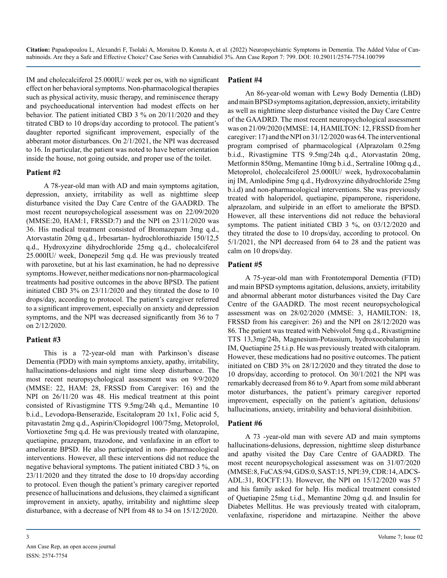IM and cholecalciferol 25.000IU/ week per os, with no significant effect on her behavioral symptoms. Non-pharmacological therapies such as physical activity, music therapy, and reminiscence therapy and psychoeducational intervention had modest effects on her behavior. The patient initiated CBD 3 % on 20/11/2020 and they titrated CBD to 10 drops/day according to protocol. The patient's daughter reported significant improvement, especially of the abberant motor disturbances. On 2/1/2021, the NPI was decreased to 16. In particular, the patient was noted to have better orientation inside the house, not going outside, and proper use of the toilet.

#### **Patient #2**

Α 78-year-old man with AD and main symptoms agitation, depression, anxiety, irritability as well as nighttime sleep disturbance visited the Day Care Centre of the GAADRD. The most recent neuropsychological assessment was on 22/09/2020 (MMSΕ:20, HAM:1, FRSSD:7) and the NPI on 23/11/2020 was 36. His medical treatment consisted of Bromazepam 3mg q.d., Atorvastatin 20mg q.d., Irbesartan- hydrochlorothiazide 150/12,5 q.d., Hydroxyzine dihydrochloride 25mg q.d., cholecalciferol 25.000IU/ week, Donepezil 5mg q.d. He was previously treated with paroxetine, but at his last examination, he had no depressive symptoms. However, neither medications nor non-pharmacological treatments had positive outcomes in the above BPSD. The patient initiated CBD 3% on 23/11/2020 and they titrated the dose to 10 drops/day, according to protocol. The patient's caregiver referred to a significant improvement, especially on anxiety and depression symptoms, and the NPI was decreased significantly from 36 to 7 on 2/12/2020.

#### **Patient #3**

Τhis is a 72-year-old man with Parkinson's disease Dementia (PDD) with main symptoms anxiety, apathy, irritability, hallucinations-delusions and night time sleep disturbance. The most recent neuropsychological assessment was on 9/9/2020 (MMSE: 22, HAM: 28, FRSSD from Caregiver: 16) and the NPI on 26/11/20 was 48. His medical treatment at this point consisted of Rivastigmine TTS 9.5mg/24h q.d., Memantine 10 b.i.d., Levodopa-Benserazide, Escitalopram 20 1x1, Folic acid 5, pitavastatin 2mg q.d., Aspirin/Clopidogrel 100/75mg, Metoprolol, Vortioxetine 5mg q.d. He was previously treated with olanzapine, quetiapine, prazepam, trazodone, and venlafaxine in an effort to ameliorate BPSD. He also participated in non- pharmacological interventions. However, all these interventions did not reduce the negative behavioral symptoms. The patient initiated CBD 3 %, on 23/11/2020 and they titrated the dose to 10 drops/day according to protocol. Even though the patient's primary caregiver reported presence of hallucinations and delusions, they claimed a significant improvement in anxiety, apathy, irritability and nighttime sleep disturbance, with a decrease of NPI from 48 to 34 on 15/12/2020.

#### **Patient #4**

An 86-year-old woman with Lewy Body Dementia (LBD) and main BPSD symptoms agitation, depression, anxiety, irritability as well as nighttime sleep disturbance visited the Day Care Centre of the GAADRD. The most recent neuropsychological assessment was on 21/09/2020 (MMSΕ: 14, HAMILTON: 12, FRSSD from her caregiver: 17) and the NPI on 31/12/2020 was 64. The interventional program comprised of pharmacological (Alprazolam 0.25mg b.i.d., Rivastigmine TTS 9.5mg/24h q.d., Atorvastatin 20mg, Metformin 850mg, Μemantine 10mg b.i.d., Sertraline 100mg q.d., Metoprolol, cholecalciferol 25.000IU/ week, hydroxocobalamin inj IM, Amlodipine 5mg q.d., Hydroxyzine dihydrochloride 25mg b.i.d) and non-pharmacological interventions. She was previously treated with haloperidol, quetiapine, pipamperone, risperidone, alprazolam, and sulpiride in an effort to ameliorate the BPSD. However, all these interventions did not reduce the behavioral symptoms. The patient initiated CBD 3 %, on 03/12/2020 and they titrated the dose to 10 drops/day, according to protocol. On 5/1/2021, the NPI decreased from 64 to 28 and the patient was calm on 10 drops/day.

#### **Patient #5**

A 75-year-old man with Frontotemporal Dementia (FTD) and main BPSD symptoms agitation, delusions, anxiety, irritability and abnormal abberant motor disturbances visited the Day Care Centre of the GAADRD. The most recent neuropsychological assessment was on 28/02/2020 (MMSΕ: 3, HAMILTON: 18, FRSSD from his caregiver: 26) and the NPI on 28/12/2020 was 86. The patient was treated with Nebivolol 5mg q.d., Rivastigmine TTS 13,3mg/24h, Magnesium-Potassium, hydroxocobalamin inj IM, Quetiapine 25 t.i.p. He was previously treated with citalopram. However, these medications had no positive outcomes. The patient initiated on CBD 3% on 28/12/2020 and they titrated the dose to 10 drops/day, according to protocol. On 30/1/2021 the NPI was remarkably decreased from 86 to 9. Apart from some mild abberant motor disturbances, the patient's primary caregiver reported improvement, especially on the patient's agitation, delusions/ hallucinations, anxiety, irritability and behavioral disinhibition.

#### **Patient #6**

A 73 -year-old man with severe AD and main symptoms hallucinations-delusions, depression, nighttime sleep disturbance and apathy visited the Day Care Centre of GAADRD. The most recent neuropsychological assessment was on 31/07/2020 (MMSE:8, FuCAS:94, GDS:0, SAST:15, ΝPI:39, CDR:14, ADCS-ADL:31, ROCFT:13). However, the NPI on 15/12/2020 was 57 and his family asked for help. His medical treatment consisted of Quetiapine 25mg t.i.d., Memantine 20mg q.d. and Insulin for Diabetes Mellitus. He was previously treated with citalopram, venlafaxine, risperidone and mirtazapine. Neither the above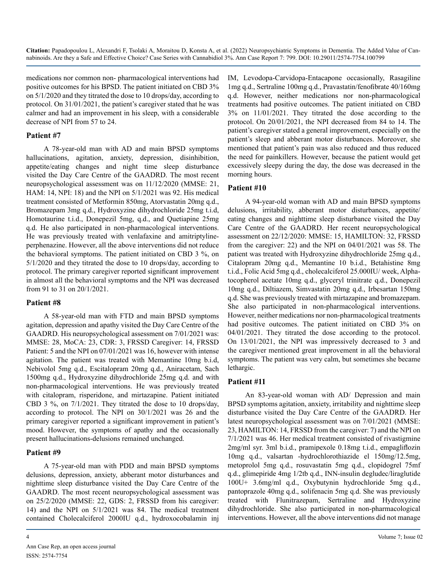medications nor common non- pharmacological interventions had positive outcomes for his BPSD. The patient initiated on CBD 3% on 5/1/2020 and they titrated the dose to 10 drops/day, according to protocol. On 31/01/2021, the patient's caregiver stated that he was calmer and had an improvement in his sleep, with a considerable decrease of NPI from 57 to 24.

#### **Patient #7**

A 78-year-old man with ΑD and main BPSD symptoms hallucinations, agitation, anxiety, depression, disinhibition, appetite/eating changes and night time sleep disturbance visited the Day Care Centre of the GAADRD. The most recent neuropsychological assessment was on 11/12/2020 (MMSE: 21, HAM: 14, NPI: 18) and the NPI on 5/1/2021 was 92. His medical treatment consisted of Metformin 850mg, Atorvastatin 20mg q.d., Bromazepam 3mg q.d., Hydroxyzine dihydrochloride 25mg t.i.d, Homotaurine t.i.d., Donepezil 5mg, q.d., and Quetiapine 25mg q.d. He also participated in non-pharmacological interventions. He was previously treated with venlafaxine and amitriptylineperphenazine. However, all the above interventions did not reduce the behavioral symptoms. The patient initiated on CBD 3 %, on 5/1/2020 and they titrated the dose to 10 drops/day, according to protocol. The primary caregiver reported significant improvement in almost all the behavioral symptoms and the NPI was decreased from 91 to 31 on 20/1/2021.

#### **Patient #8**

A 58-year-old man with FTD and main BPSD symptoms agitation, depression and apathy visited the Day Care Centre of the GAADRD. His neuropsychological assessment on 7/01/2021 was: MMSE: 28, MoCA: 23, CDR: 3, FRSSD Caregiver: 14, FRSSD Patient: 5 and the NPI on 07/01/2021 was 16, however with intense agitation. The patient was treated with Memantine 10mg b.i.d, Nebivolol 5mg q.d., Escitalopram 20mg q.d., Aniracetam, Sach 1500mg q.d., Hydroxyzine dihydrochloride 25mg q.d. and with non-pharmacological interventions. He was previously treated with citalopram, risperidone, and mirtazapine. Patient initiated CBD 3 %, on 7/1/2021. They titrated the dose to 10 drops/day, according to protocol. Τhe NPI on 30/1/2021 was 26 and the primary caregiver reported a significant improvement in patient's mood. However, the symptoms of apathy and the occasionally present hallucinations-delusions remained unchanged.

#### **Patient #9**

A 75-year-old man with PDD and main BPSD symptoms delusions, depression, anxiety, abberant motor disturbances and nighttime sleep disturbance visited the Day Care Centre of the GAADRD. The most recent neuropsychological assessment was on 25/2/2020 (MMSE: 22, GDS: 2, FRSSD from his caregiver: 14) and the NPI on 5/1/2021 was 84. The medical treatment contained Cholecalciferol 2000IU q.d., hydroxocobalamin inj IM, Levodopa-Carvidopa-Entacapone occasionally, Rasagiline 1mg q.d., Sertraline 100mg q.d., Pravastatin/fenofibrate 40/160mg q.d. However, neither medications nor non-pharmacological treatments had positive outcomes. The patient initiated on CBD 3% on 11/01/2021. They titrated the dose according to the protocol. On 20/01/2021, the NPI decreased from 84 to 14. The patient's caregiver stated a general improvement, especially on the patient's sleep and abberant motor disturbances. Moreover, she mentioned that patient's pain was also reduced and thus reduced the need for painkillers. However, because the patient would get excessively sleepy during the day, the dose was decreased in the morning hours.

#### **Patient #10**

A 94-year-old woman with AD and main BPSD symptoms delusions, irritability, abberant motor disturbances, appetite/ eating changes and nighttime sleep disturbance visited the Day Care Centre of the GAADRD. Her recent neuropsychological assessment on 22/12/2020: MMSE: 15, HAMILTON: 32, FRSSD from the caregiver: 22) and the NPI on 04/01/2021 was 58. The patient was treated with Hydroxyzine dihydrochloride 25mg q.d., Citalopram 20mg q.d., Memantine 10 b.i.d., Betahistine 8mg t.i.d., Folic Acid 5mg q.d., cholecalciferol 25.000IU/ week, Alphatocopherol acetate 10mg q.d., glyceryl trinitrate q.d., Donepezil 10mg q.d., Diltiazem, Simvastatin 20mg q.d., Irbesartan 150mg q.d. She was previously treated with mirtazapine and bromazepam. She also participated in non-pharmacological interventions. However, neither medications nor non-pharmacological treatments had positive outcomes. The patient initiated on CBD 3% on 04/01/2021. They titrated the dose according to the protocol. On 13/01/2021, the NPI was impressively decreased to 3 and the caregiver mentioned great improvement in all the behavioral symptoms. The patient was very calm, but sometimes she became lethargic.

#### **Patient #11**

An 83-year-old woman with AD/ Depression and main BPSD symptoms agitation, anxiety, irritability and nighttime sleep disturbance visited the Day Care Centre of the GAADRD. Her latest neuropsychological assessment was on 7/01/2021 (MMSE: 23, HAMILTON: 14, FRSSD from the caregiver: 7) and the NPI on 7/1/2021 was 46. Her medical treatment consisted of rivastigmine 2mg/ml syr. 3ml b.i.d., pramipexole 0.18mg t.i.d., empagliflozin 10mg q.d., valsartan -hydrochlorothiazide el 150mg/12.5mg, metoprolol 5mg q.d., rosuvastatin 5mg q.d., clopidogrel 75mf q.d., glimepiride 4mg 1/2tb q.d., INN-insulin degludec/liraglutide 100U+ 3.6mg/ml q.d., Oxybutynin hydrochloride 5mg q.d., pantoprazole 40mg q.d., solifenacin 5mg q.d. She was previously treated with Flunitrazepam, Sertraline and Hydroxyzine dihydrochloride. She also participated in non-pharmacological interventions. However, all the above interventions did not manage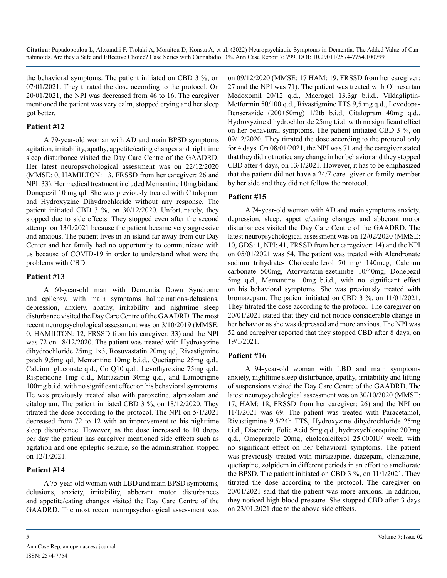the behavioral symptoms. The patient initiated on CBD 3 %, on 07/01/2021. They titrated the dose according to the protocol. On 20/01/2021, the NPI was decreased from 46 to 16. The caregiver mentioned the patient was very calm, stopped crying and her sleep got better.

#### **Patient #12**

A 79-year-old woman with AD and main BPSD symptoms agitation, irritability, apathy, appetite/eating changes and nighttime sleep disturbance visited the Day Care Centre of the GAADRD. Her latest neuropsychological assessment was on 22/12/2020 (MMSE: 0, HAMILTON: 13, FRSSD from her caregiver: 26 and NPI: 33). Her medical treatment included Memantine 10mg bid and Donepezil 10 mg qd. She was previously treated with Citalopram and Hydroxyzine Dihydrochloride without any response. The patient initiated CBD 3 %, on 30/12/2020. Unfortunately, they stopped due to side effects. They stopped even after the second attempt on 13/1/2021 because the patient became very aggressive and anxious. The patient lives in an island far away from our Day Center and her family had no opportunity to communicate with us because of COVID-19 in order to understand what were the problems with CBD.

#### **Patient #13**

A 60-year-old man with Dementia Down Syndrome and epilepsy, with main symptoms hallucinations-delusions, depression, anxiety, apathy, irritability and nighttime sleep disturbance visited the Day Care Centre of the GAADRD. The most recent neuropsychological assessment was on 3/10/2019 (MMSE: 0, HAMILTON: 12, FRSSD from his caregiver: 33) and the NPI was 72 on 18/12/2020. The patient was treated with Hydroxyzine dihydrochloride 25mg 1x3, Rosuvastatin 20mg qd, Rivastigmine patch 9,5mg qd, Memantine 10mg b.i.d., Quetiapine 25mg q.d., Calcium gluconate q.d., Co Q10 q.d., Levothyroxine 75mg q.d., Risperidone 1mg q.d., Mirtazapin 30mg q.d., and Lamotrigine 100mg b.i.d. with no significant effect on his behavioral symptoms. He was previously treated also with paroxetine, alprazolam and citalopram. The patient initiated CBD 3 %, on 18/12/2020. They titrated the dose according to the protocol. The NPI on 5/1/2021 decreased from 72 to 12 with an improvement to his nighttime sleep disturbance. However, as the dose increased to 10 drops per day the patient has caregiver mentioned side effects such as agitation and one epileptic seizure, so the administration stopped on 12/1/2021.

#### **Patient #14**

Α 75-year-old woman with LBD and main BPSD symptoms, delusions, anxiety, irritability, abberant motor disturbances and appetite/eating changes visited the Day Care Centre of the GAADRD. The most recent neuropsychological assessment was

Medoxomil 20/12 q.d., Macrogol 13.3gr b.i.d., Vildagliptin-Metformin 50/100 q.d., Rivastigmine TTS 9,5 mg q.d., Levodopa-Benserazide (200+50mg) 1/2tb b.i.d, Citalopram 40mg q.d., Hydroxyzine dihydrochloride 25mg t.i.d. with no significant effect on her behavioral symptoms. The patient initiated CBD 3 %, on 09/12/2020. They titrated the dose according to the protocol only for 4 days. On 08/01/2021, the NPI was 71 and the caregiver stated that they did not notice any change in her behavior and they stopped CBD after 4 days, on 13/1/2021. However, it has to be emphasized that the patient did not have a 24/7 care- giver or family member by her side and they did not follow the protocol. **Patient #15** Α 74-year-old woman with AD and main symptoms anxiety,

on 09/12/2020 (MMSE: 17 HAM: 19, FRSSD from her caregiver: 27 and the NPI was 71). The patient was treated with Olmesartan

depression, sleep, appetite/eating changes and abberant motor disturbances visited the Day Care Centre of the GAADRD. The latest neuropsychological assessment was on 12/02/2020 (MMSE: 10, GDS: 1, NPI: 41, FRSSD from her caregeiver: 14) and the NPI on 05/01/2021 was 54. The patient was treated with Alendronate sodium trihydrate- Cholecalciferol 70 mg/ 140mcg, Calcium carbonate 500mg, Atorvastatin-ezetimibe 10/40mg, Donepezil 5mg q.d., Memantine 10mg b.i.d., with no significant effect on his behavioral symptoms. She was previously treated with bromazepam. The patient initiated on CBD 3 %, on 11/01/2021. They titrated the dose according to the protocol. Τhe caregiver on 20/01/2021 stated that they did not notice considerable change in her behavior as she was depressed and more anxious. The NPI was 52 and caregiver reported that they stopped CBD after 8 days, on 19/1/2021.

#### **Patient #16**

Α 94-year-old woman with LBD and main symptoms anxiety, nighttime sleep disturbance, apathy, irritability and lifting of suspensions visited the Day Care Centre of the GAADRD. The latest neuropsychological assessment was on 30/10/2020 (MMSE: 17, HAM: 18, FRSSD from her caregiver: 26) and the NPI on 11/1/2021 was 69. The patient was treated with Paracetamol, Rivastigmine 9.5/24h TTS, Hydroxyzine dihydrochloride 25mg t.i.d., Diacerein, Folic Acid 5mg q.d., hydroxychloroquine 200mg q.d., Omeprazole 20mg, cholecalciferol 25.000IU/ week, with no significant effect on her behavioral symptoms. The patient was previously treated with mirtazapine, diazepam, olanzapine, quetiapine, zolpidem in different periods in an effort to ameliorate the BPSD. The patient initiated on CBD 3 %, on 11/1/2021. They titrated the dose according to the protocol. Τhe caregiver on 20/01/2021 said that the patient was more anxious. In addition, they noticed high blood pressure. She stopped CBD after 3 days on 23/01.2021 due to the above side effects.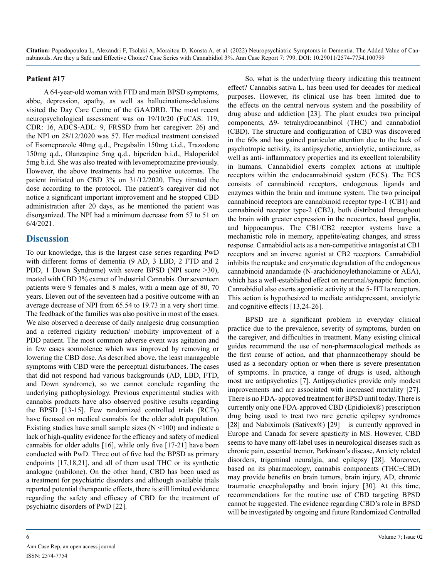#### **Patient #17**

A 64-year-old woman with FTD and main BPSD symptoms, abbe, depression, apathy, as well as hallucinations-delusions visited the Day Care Centre of the GAADRD. The most recent neuropsychological assessment was on 19/10/20 (FuCAS: 119, CDR: 16, ADCS-ADL: 9, FRSSD from her caregiver: 26) and the NPI on 28/12/2020 was 57. Her medical treatment consisted of Esomeprazole 40mg q.d., Pregabalin 150mg t.i.d., Trazodone 150mg q.d., Olanzapine 5mg q.d., biperiden b.i.d., Haloperidol 5mg b.i.d. She was also treated with levomepromazine previously. However, the above treatments had no positive outcomes. The patient initiated on CBD 3% on 31/12/2020. They titrated the dose according to the protocol. The patient's caregiver did not notice a significant important improvement and he stopped CBD administration after 20 days, as he mentioned the patient was disorganized. The NPI had a minimum decrease from 57 to 51 on 6/4/2021.

#### **Discussion**

To our knowledge, this is the largest case series regarding PwD with different forms of dementia (9 AD, 3 LBD, 2 FTD and 2 PDD, 1 Down Syndrome) with severe BPSD (NPI score >30), treated with CBD 3% extract of Industrial Cannabis. Our seventeen patients were 9 females and 8 males, with a mean age of 80, 70 years. Eleven out of the seventeen had a positive outcome with an average decrease of NPI from 65.54 to 19.73 in a very short time. The feedback of the families was also positive in most of the cases. We also observed a decrease of daily analgesic drug consumption and a referred rigidity reduction/ mobility improvement of a PDD patient. The most common adverse event was agitation and in few cases somnolence which was improved by removing or lowering the CBD dose. As described above, the least manageable symptoms with CBD were the perceptual disturbances. The cases that did not respond had various backgrounds (AD, LBD, FTD, and Down syndrome), so we cannot conclude regarding the underlying pathophysiology. Previous experimental studies with cannabis products have also observed positive results regarding the BPSD [13-15]. Few randomized controlled trials (RCTs) have focused on medical cannabis for the older adult population. Existing studies have small sample sizes  $(N \le 100)$  and indicate a lack of high-quality evidence for the efficacy and safety of medical cannabis for older adults [16], while only five [17-21] have been conducted with PwD. Three out of five had the BPSD as primary endpoints [17,18,21], and all of them used THC or its synthetic analogue (nabilone). On the other hand, CBD has been used as a treatment for psychiatric disorders and although available trials reported potential therapeutic effects, there is still limited evidence regarding the safety and efficacy of CBD for the treatment of psychiatric disorders of PwD [22].

So, what is the underlying theory indicating this treatment effect? Cannabis sativa L. has been used for decades for medical purposes. However, its clinical use has been limited due to the effects on the central nervous system and the possibility of drug abuse and addiction [23]. The plant exudes two principal components, Δ9- tetrahydrocannbinol (THC) and cannabidiol (CBD). The structure and configuration of CBD was discovered in the 60s and has gained particular attention due to the lack of psychotropic activity, its antipsychotic, anxiolytic, antiseizure, as well as anti- inflammatory properties and its excellent tolerability in humans. Cannabidiol exerts complex actions at multiple receptors within the endocannabinoid system (ECS). The ECS consists of cannabinoid receptors, endogenous ligands and enzymes within the brain and immune system. The two principal cannabinoid receptors are cannabinoid receptor type-1 (CB1) and cannabinoid receptor type-2 (CB2), both distributed throughout the brain with greater expression in the neocortex, basal ganglia, and hippocampus. The CB1/CB2 receptor systems have a mechanistic role in memory, appetite/eating changes, and stress response. Cannabidiol acts as a non-competitive antagonist at CB1 receptors and an inverse agonist at CB2 receptors. Cannabidiol inhibits the reuptake and enzymatic degradation of the endogenous cannabinoid anandamide (N-arachidonoylethanolamine or AEA), which has a well-established effect on neuronal/synaptic function. Cannabidiol also exerts agonistic activity at the 5- HT1a receptors. This action is hypothesized to mediate antidepressant, anxiolytic and cognitive effects [13,24-26].

BPSD are a significant problem in everyday clinical practice due to the prevalence, severity of symptoms, burden on the caregiver, and difficulties in treatment. Many existing clinical guides recommend the use of non-pharmacological methods as the first course of action, and that pharmacotherapy should be used as a secondary option or when there is severe presentation of symptoms. In practice, a range of drugs is used, although most are antipsychotics [7]. Antipsychotics provide only modest improvements and are associated with increased mortality [27]. There is no FDA- approved treatment for BPSD until today. There is currently only one FDA-approved CBD (Epidiolex®) prescription drug being used to treat two rare genetic epilepsy syndromes [28] and Nabiximols (Sativex®) [29] is currently approved in Europe and Canada for severe spasticity in MS. However, CBD seems to have many off-label uses in neurological diseases such as chronic pain, essential tremor, Parkinson's disease, Anxiety related disorders, trigeminal neuralgia, and epilepsy [28]. Moreover, based on its pharmacology, cannabis components (THC±CBD) may provide benefits on brain tumors, brain injury, AD, chronic traumatic encephalopathy and brain injury [30]. At this time, recommendations for the routine use of CBD targeting BPSD cannot be suggested. The evidence regarding CBD's role in BPSD will be investigated by ongoing and future Randomized Controlled